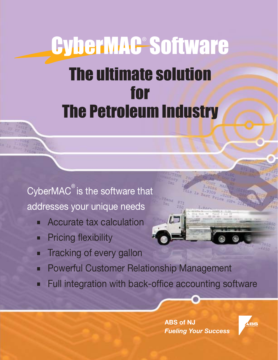# CyberMAG<sup>®</sup>Software **The ultimate solution** for **The Petroleum Industry**

CyberMAC<sup>®</sup> is the software that addresses your unique needs

- **Accurate tax calculation**
- **Pricing flexibility** O
- **Tracking of every gallon** о
- **Powerful Customer Relationship Management**  $\blacksquare$
- Full integration with back-office accounting software

**ABS of NJ Fueling Your Success** 

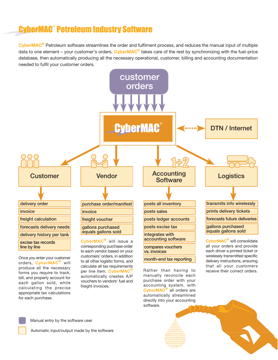## **CyberMAC<sup>®</sup> Petroleum Industry Software**

CyberMAC<sup>®</sup> Petroleum software streamlines the order and fulfilment process, and reduces the manual input of multiple data to one element – your customer's orders. CyberMAC<sup>®</sup> takes care of the rest by synchronizing with the fuel-price database, then automatically producing all the necessary operational, customer, billing and accounting documentation needed to fulfil your customer orders.



orders, CyberMAC<sup>®</sup> will produce all the necessary forms you require to track, bill, and properly account for each gallon sold, while calculating the precise appropriate tax calculations for each purchase.

to all other logistic forms, and calculate all tax requirements per line item. CyberMAC<sup>®</sup> automatically creates A/P vouchers to vendors' fuel and freight invoices.



that all your customers

receive their correct orders.



Manual entry by the software user

Automatic input/output made by the software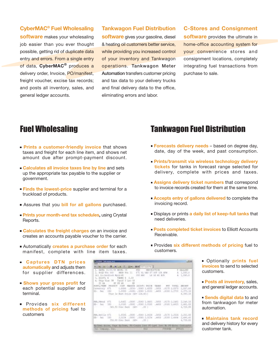**CyberMAC<sup>®</sup> Fuel Wholesaling** software makes your wholesaling job easier than you ever thought possible, getting rid of duplicate data entry and errors. From a single entry of data, CyberMAC<sup>®</sup> produces a delivery order, Invoice, PO/manifest, freight voucher, excise tax records; and posts all inventory, sales, and general ledger accounts.

#### **Tankwagon Fuel Distribution**

software gives your gasoline, diesel & heating oil customers better service, while providing you increased control of your inventory and Tankwagon operations. Tankwagon Meter Automation transfers customer pricing and tax data to your delivery trucks and final delivery data to the office, eliminating errors and labor.

**C-Stores and Consignment** software provides the ultimate in home-office accounting system for your convenience stores and consignment locations, completely integrating fuel transactions from purchase to sale.

### **Fuel Wholesaling**

- Prints a customer-friendly invoice that shows taxes and freight for each line item, and shows net amount due after prompt-payment discount.
- Calculates all invoice taxes line by line and sets up the appropriate tax payable to the supplier or government.
- **Finds the lowest-price supplier and terminal for a** truckload of products.
- Assures that you bill for all gallons purchased.
- Prints your month-end tax schedules, using Crystal Reports.
- Calculates the freight charges on an invoice and creates an accounts payable voucher to the carrier.
- Automatically creates a purchase order for each manifest, complete with line item taxes.
- Captures DTN prices automatically and adjusts them for supplier differences.
- Shows your gross profit for each potential supplier and terminal.
- Provides six different methods of pricing fuel to customers

**José**  $\begin{array}{c} 0.011370988 \\ 1.01014 \\ 1.01014 \\ \end{array}$  $^{2,071.11}_{7,171.11}$  $\begin{array}{l} 2, 248, 18 \\ 2, 481, 18 \\ 4, 129, 68 \end{array}$ PRL RAVIS+ 871 2,252.48 2,401.41  $82 - 501$ *UNEWAN* 

Battown Arrow, East McTown, FA-Create Inve Fi-Last Theo No Pi-faster (CL Company, Inc., 622)

### **Tankwagon Fuel Distribution**

- **Forecasts delivery needs** based on degree day, date, day of the week, and past consumption.
- Prints/transmit via wireless technology delivery tickets for tanks in forecast range selected for delivery, complete with prices and taxes.
- **Assigns delivery ticket numbers that correspond** to invoice records created for them at the same time.
- Accepts entry of gallons delivered to complete the invoicing record.
- Displays or prints a daily list of keep-full tanks that need deliveries.
- **Posts completed ticket invoices to Elliott Accounts** Receivable.
- Provides six different methods of pricing fuel to customers.

Optionally prints fuel invoices to send to selected customers.

**Posts all inventory**, sales, and general ledger accounts.

Sends digital data to and from tankwagon for meter automation.

**Maintains tank record** and delivery history for every customer tank.